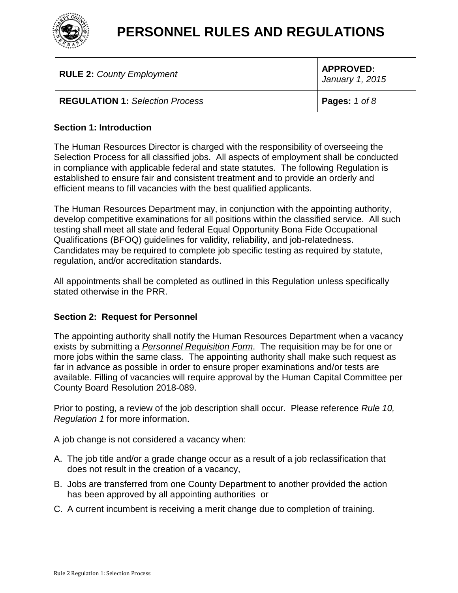

| <b>RULE 2: County Employment</b>       | <b>APPROVED:</b><br>January 1, 2015 |
|----------------------------------------|-------------------------------------|
| <b>REGULATION 1: Selection Process</b> | <b>Pages:</b> $1$ of $8$            |

### **Section 1: Introduction**

The Human Resources Director is charged with the responsibility of overseeing the Selection Process for all classified jobs. All aspects of employment shall be conducted in compliance with applicable federal and state statutes. The following Regulation is established to ensure fair and consistent treatment and to provide an orderly and efficient means to fill vacancies with the best qualified applicants.

The Human Resources Department may, in conjunction with the appointing authority, develop competitive examinations for all positions within the classified service. All such testing shall meet all state and federal Equal Opportunity Bona Fide Occupational Qualifications (BFOQ) guidelines for validity, reliability, and job-relatedness. Candidates may be required to complete job specific testing as required by statute, regulation, and/or accreditation standards.

All appointments shall be completed as outlined in this Regulation unless specifically stated otherwise in the PRR.

#### **Section 2: Request for Personnel**

The appointing authority shall notify the Human Resources Department when a vacancy exists by submitting a *Personnel Requisition Form*. The requisition may be for one or more jobs within the same class. The appointing authority shall make such request as far in advance as possible in order to ensure proper examinations and/or tests are available. Filling of vacancies will require approval by the Human Capital Committee per County Board Resolution 2018-089.

Prior to posting, a review of the job description shall occur. Please reference *Rule 10, Regulation 1* for more information.

A job change is not considered a vacancy when:

- A. The job title and/or a grade change occur as a result of a job reclassification that does not result in the creation of a vacancy,
- B. Jobs are transferred from one County Department to another provided the action has been approved by all appointing authorities or
- C. A current incumbent is receiving a merit change due to completion of training.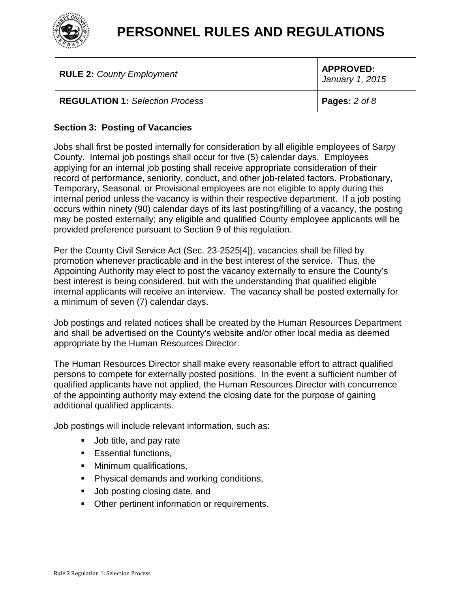

| <b>RULE 2: County Employment</b>       | <b>APPROVED:</b><br>January 1, 2015 |
|----------------------------------------|-------------------------------------|
| <b>REGULATION 1: Selection Process</b> | <b>Pages:</b> 2 of 8                |

### **Section 3: Posting of Vacancies**

Jobs shall first be posted internally for consideration by all eligible employees of Sarpy County. Internal job postings shall occur for five (5) calendar days. Employees applying for an internal job posting shall receive appropriate consideration of their record of performance, seniority, conduct, and other job-related factors. Probationary, Temporary, Seasonal, or Provisional employees are not eligible to apply during this internal period unless the vacancy is within their respective department. If a job posting occurs within ninety (90) calendar days of its last posting/filling of a vacancy, the posting may be posted externally; any eligible and qualified County employee applicants will be provided preference pursuant to Section 9 of this regulation.

Per the County Civil Service Act (Sec. 23-2525[4]), vacancies shall be filled by promotion whenever practicable and in the best interest of the service. Thus, the Appointing Authority may elect to post the vacancy externally to ensure the County's best interest is being considered, but with the understanding that qualified eligible internal applicants will receive an interview. The vacancy shall be posted externally for a minimum of seven (7) calendar days.

Job postings and related notices shall be created by the Human Resources Department and shall be advertised on the County's website and/or other local media as deemed appropriate by the Human Resources Director.

The Human Resources Director shall make every reasonable effort to attract qualified persons to compete for externally posted positions. In the event a sufficient number of qualified applicants have not applied, the Human Resources Director with concurrence of the appointing authority may extend the closing date for the purpose of gaining additional qualified applicants.

Job postings will include relevant information, such as:

- **Job title, and pay rate**
- **Essential functions,**
- **Minimum qualifications,**
- **Physical demands and working conditions,**
- **Job posting closing date, and**
- **Detect** Department information or requirements.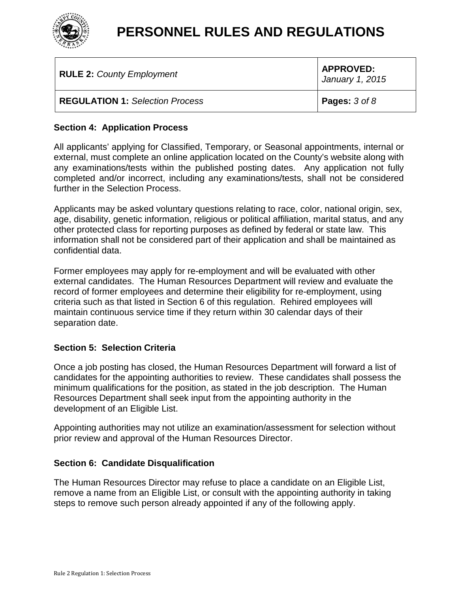

| <b>RULE 2: County Employment</b>       | <b>APPROVED:</b><br>January 1, 2015 |
|----------------------------------------|-------------------------------------|
| <b>REGULATION 1: Selection Process</b> | <b>Pages:</b> 3 of 8                |

### **Section 4: Application Process**

All applicants' applying for Classified, Temporary, or Seasonal appointments, internal or external, must complete an online application located on the County's website along with any examinations/tests within the published posting dates. Any application not fully completed and/or incorrect, including any examinations/tests, shall not be considered further in the Selection Process.

Applicants may be asked voluntary questions relating to race, color, national origin, sex, age, disability, genetic information, religious or political affiliation, marital status, and any other protected class for reporting purposes as defined by federal or state law. This information shall not be considered part of their application and shall be maintained as confidential data.

Former employees may apply for re-employment and will be evaluated with other external candidates. The Human Resources Department will review and evaluate the record of former employees and determine their eligibility for re-employment, using criteria such as that listed in Section 6 of this regulation. Rehired employees will maintain continuous service time if they return within 30 calendar days of their separation date.

### **Section 5: Selection Criteria**

Once a job posting has closed, the Human Resources Department will forward a list of candidates for the appointing authorities to review. These candidates shall possess the minimum qualifications for the position, as stated in the job description. The Human Resources Department shall seek input from the appointing authority in the development of an Eligible List.

Appointing authorities may not utilize an examination/assessment for selection without prior review and approval of the Human Resources Director.

#### **Section 6: Candidate Disqualification**

The Human Resources Director may refuse to place a candidate on an Eligible List, remove a name from an Eligible List, or consult with the appointing authority in taking steps to remove such person already appointed if any of the following apply.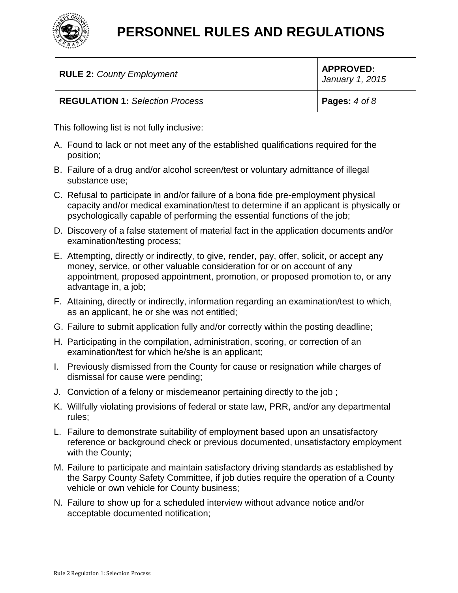

| <b>RULE 2: County Employment</b>       | <b>APPROVED:</b><br>January 1, 2015 |
|----------------------------------------|-------------------------------------|
| <b>REGULATION 1: Selection Process</b> | <b>Pages:</b> $4$ of $8$            |

This following list is not fully inclusive:

- A. Found to lack or not meet any of the established qualifications required for the position;
- B. Failure of a drug and/or alcohol screen/test or voluntary admittance of illegal substance use;
- C. Refusal to participate in and/or failure of a bona fide pre-employment physical capacity and/or medical examination/test to determine if an applicant is physically or psychologically capable of performing the essential functions of the job;
- D. Discovery of a false statement of material fact in the application documents and/or examination/testing process;
- E. Attempting, directly or indirectly, to give, render, pay, offer, solicit, or accept any money, service, or other valuable consideration for or on account of any appointment, proposed appointment, promotion, or proposed promotion to, or any advantage in, a job;
- F. Attaining, directly or indirectly, information regarding an examination/test to which, as an applicant, he or she was not entitled;
- G. Failure to submit application fully and/or correctly within the posting deadline;
- H. Participating in the compilation, administration, scoring, or correction of an examination/test for which he/she is an applicant;
- I. Previously dismissed from the County for cause or resignation while charges of dismissal for cause were pending;
- J. Conviction of a felony or misdemeanor pertaining directly to the job ;
- K. Willfully violating provisions of federal or state law, PRR, and/or any departmental rules;
- L. Failure to demonstrate suitability of employment based upon an unsatisfactory reference or background check or previous documented, unsatisfactory employment with the County;
- M. Failure to participate and maintain satisfactory driving standards as established by the Sarpy County Safety Committee, if job duties require the operation of a County vehicle or own vehicle for County business;
- N. Failure to show up for a scheduled interview without advance notice and/or acceptable documented notification;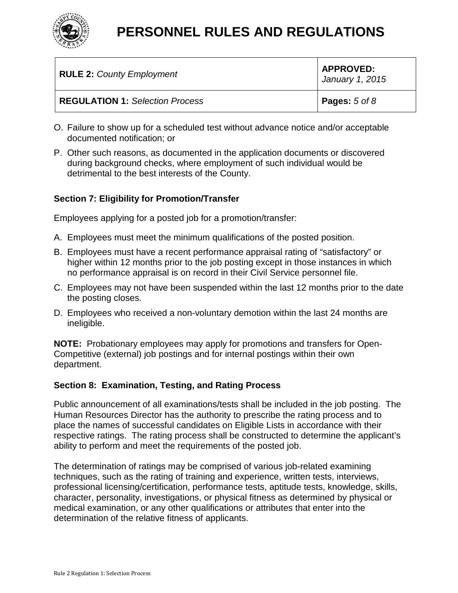

| <b>RULE 2: County Employment</b>       | <b>APPROVED:</b><br>January 1, 2015 |
|----------------------------------------|-------------------------------------|
| <b>REGULATION 1: Selection Process</b> | <b>Pages:</b> $5$ of $8$            |

- O. Failure to show up for a scheduled test without advance notice and/or acceptable documented notification; or
- P. Other such reasons, as documented in the application documents or discovered during background checks, where employment of such individual would be detrimental to the best interests of the County.

### **Section 7: Eligibility for Promotion/Transfer**

Employees applying for a posted job for a promotion/transfer:

- A. Employees must meet the minimum qualifications of the posted position.
- B. Employees must have a recent performance appraisal rating of "satisfactory" or higher within 12 months prior to the job posting except in those instances in which no performance appraisal is on record in their Civil Service personnel file.
- C. Employees may not have been suspended within the last 12 months prior to the date the posting closes.
- D. Employees who received a non-voluntary demotion within the last 24 months are ineligible.

**NOTE:** Probationary employees may apply for promotions and transfers for Open-Competitive (external) job postings and for internal postings within their own department.

### **Section 8: Examination, Testing, and Rating Process**

Public announcement of all examinations/tests shall be included in the job posting. The Human Resources Director has the authority to prescribe the rating process and to place the names of successful candidates on Eligible Lists in accordance with their respective ratings. The rating process shall be constructed to determine the applicant's ability to perform and meet the requirements of the posted job.

The determination of ratings may be comprised of various job-related examining techniques, such as the rating of training and experience, written tests, interviews, professional licensing/certification, performance tests, aptitude tests, knowledge, skills, character, personality, investigations, or physical fitness as determined by physical or medical examination, or any other qualifications or attributes that enter into the determination of the relative fitness of applicants.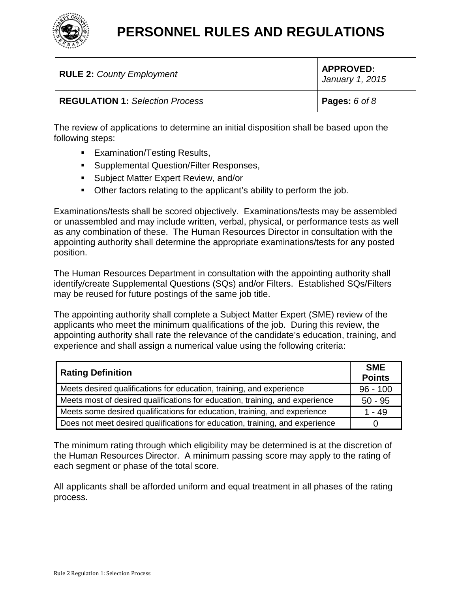

| <b>RULE 2: County Employment</b>       | <b>APPROVED:</b><br>January 1, 2015 |
|----------------------------------------|-------------------------------------|
| <b>REGULATION 1: Selection Process</b> | <b>Pages:</b> $6$ of $8$            |

The review of applications to determine an initial disposition shall be based upon the following steps:

- **Examination/Testing Results,**
- **Supplemental Question/Filter Responses,**
- **Subject Matter Expert Review, and/or**
- Other factors relating to the applicant's ability to perform the job.

Examinations/tests shall be scored objectively. Examinations/tests may be assembled or unassembled and may include written, verbal, physical, or performance tests as well as any combination of these. The Human Resources Director in consultation with the appointing authority shall determine the appropriate examinations/tests for any posted position.

The Human Resources Department in consultation with the appointing authority shall identify/create Supplemental Questions (SQs) and/or Filters. Established SQs/Filters may be reused for future postings of the same job title.

The appointing authority shall complete a Subject Matter Expert (SME) review of the applicants who meet the minimum qualifications of the job. During this review, the appointing authority shall rate the relevance of the candidate's education, training, and experience and shall assign a numerical value using the following criteria:

| <b>Rating Definition</b>                                                     | <b>SME</b><br><b>Points</b> |
|------------------------------------------------------------------------------|-----------------------------|
| Meets desired qualifications for education, training, and experience         | $96 - 100$                  |
| Meets most of desired qualifications for education, training, and experience | $50 - 95$                   |
| Meets some desired qualifications for education, training, and experience    | $1 - 49$                    |
| Does not meet desired qualifications for education, training, and experience |                             |

The minimum rating through which eligibility may be determined is at the discretion of the Human Resources Director. A minimum passing score may apply to the rating of each segment or phase of the total score.

All applicants shall be afforded uniform and equal treatment in all phases of the rating process.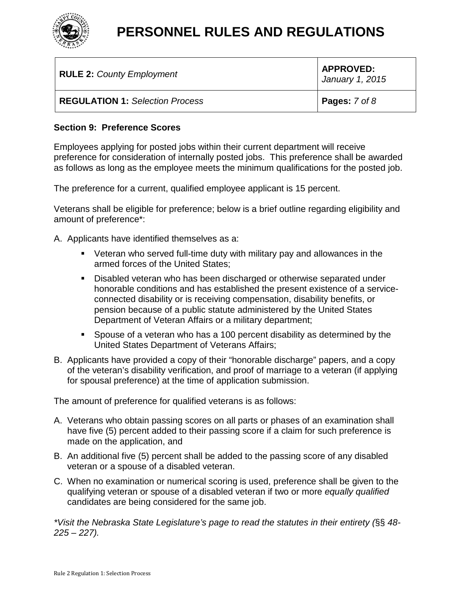

| <b>RULE 2: County Employment</b>       | <b>APPROVED:</b><br>January 1, 2015 |
|----------------------------------------|-------------------------------------|
| <b>REGULATION 1: Selection Process</b> | <b>Pages:</b> $7$ of $8$            |

### **Section 9: Preference Scores**

Employees applying for posted jobs within their current department will receive preference for consideration of internally posted jobs. This preference shall be awarded as follows as long as the employee meets the minimum qualifications for the posted job.

The preference for a current, qualified employee applicant is 15 percent.

Veterans shall be eligible for preference; below is a brief outline regarding eligibility and amount of preference\*:

A. Applicants have identified themselves as a:

- Veteran who served full-time duty with military pay and allowances in the armed forces of the United States;
- **Disabled veteran who has been discharged or otherwise separated under** honorable conditions and has established the present existence of a serviceconnected disability or is receiving compensation, disability benefits, or pension because of a public statute administered by the United States Department of Veteran Affairs or a military department;
- Spouse of a veteran who has a 100 percent disability as determined by the United States Department of Veterans Affairs;
- B. Applicants have provided a copy of their "honorable discharge" papers, and a copy of the veteran's disability verification, and proof of marriage to a veteran (if applying for spousal preference) at the time of application submission.

The amount of preference for qualified veterans is as follows:

- A. Veterans who obtain passing scores on all parts or phases of an examination shall have five (5) percent added to their passing score if a claim for such preference is made on the application, and
- B. An additional five (5) percent shall be added to the passing score of any disabled veteran or a spouse of a disabled veteran.
- C. When no examination or numerical scoring is used, preference shall be given to the qualifying veteran or spouse of a disabled veteran if two or more *equally qualified* candidates are being considered for the same job.

*\*Visit the Nebraska State Legislature's page to read the statutes in their entirety (*§§ *48- 225 – 227).*